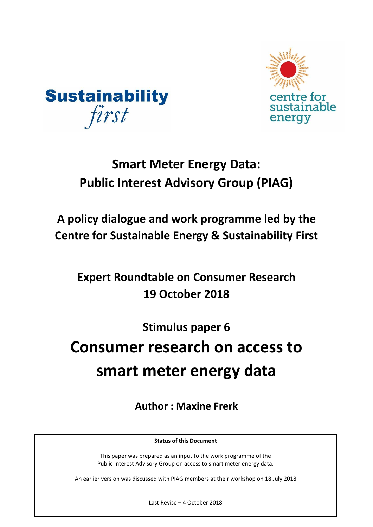



## **Smart Meter Energy Data: Public Interest Advisory Group (PIAG)**

**A policy dialogue and work programme led by the Centre for Sustainable Energy & Sustainability First**

**Expert Roundtable on Consumer Research 19 October 2018**

**Stimulus paper 6** 

# **Consumer research on access to smart meter energy data**

**Author : Maxine Frerk**

**Status of this Document**

This paper was prepared as an input to the work programme of the Public Interest Advisory Group on access to smart meter energy data.

An earlier version was discussed with PIAG members at their workshop on 18 July 2018

Last Revise – 4 October 2018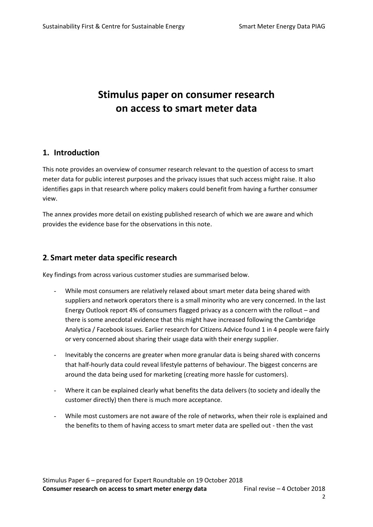## **Stimulus paper on consumer research on access to smart meter data**

#### **1. Introduction**

This note provides an overview of consumer research relevant to the question of access to smart meter data for public interest purposes and the privacy issues that such access might raise. It also identifies gaps in that research where policy makers could benefit from having a further consumer view.

The annex provides more detail on existing published research of which we are aware and which provides the evidence base for the observations in this note.

#### **2. Smart meter data specific research**

Key findings from across various customer studies are summarised below.

- While most consumers are relatively relaxed about smart meter data being shared with suppliers and network operators there is a small minority who are very concerned. In the last Energy Outlook report 4% of consumers flagged privacy as a concern with the rollout – and there is some anecdotal evidence that this might have increased following the Cambridge Analytica / Facebook issues. Earlier research for Citizens Advice found 1 in 4 people were fairly or very concerned about sharing their usage data with their energy supplier.
- Inevitably the concerns are greater when more granular data is being shared with concerns that half-hourly data could reveal lifestyle patterns of behaviour. The biggest concerns are around the data being used for marketing (creating more hassle for customers).
- Where it can be explained clearly what benefits the data delivers (to society and ideally the customer directly) then there is much more acceptance.
- While most customers are not aware of the role of networks, when their role is explained and the benefits to them of having access to smart meter data are spelled out - then the vast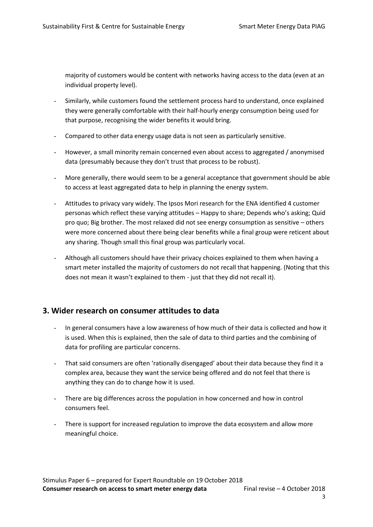majority of customers would be content with networks having access to the data (even at an individual property level).

- Similarly, while customers found the settlement process hard to understand, once explained they were generally comfortable with their half-hourly energy consumption being used for that purpose, recognising the wider benefits it would bring.
- Compared to other data energy usage data is not seen as particularly sensitive.
- However, a small minority remain concerned even about access to aggregated / anonymised data (presumably because they don't trust that process to be robust).
- More generally, there would seem to be a general acceptance that government should be able to access at least aggregated data to help in planning the energy system.
- Attitudes to privacy vary widely. The Ipsos Mori research for the ENA identified 4 customer personas which reflect these varying attitudes – Happy to share; Depends who's asking; Quid pro quo; Big brother. The most relaxed did not see energy consumption as sensitive – others were more concerned about there being clear benefits while a final group were reticent about any sharing. Though small this final group was particularly vocal.
- Although all customers should have their privacy choices explained to them when having a smart meter installed the majority of customers do not recall that happening. (Noting that this does not mean it wasn't explained to them - just that they did not recall it).

#### **3. Wider research on consumer attitudes to data**

- In general consumers have a low awareness of how much of their data is collected and how it is used. When this is explained, then the sale of data to third parties and the combining of data for profiling are particular concerns.
- That said consumers are often 'rationally disengaged' about their data because they find it a complex area, because they want the service being offered and do not feel that there is anything they can do to change how it is used.
- There are big differences across the population in how concerned and how in control consumers feel.
- There is support for increased regulation to improve the data ecosystem and allow more meaningful choice.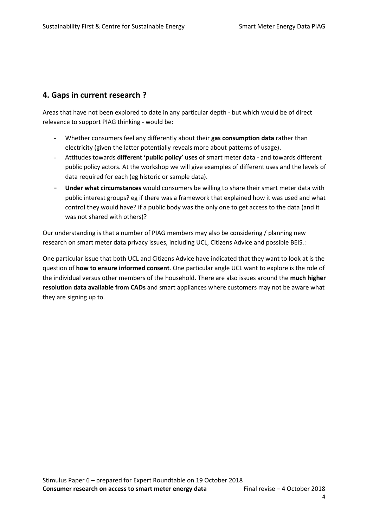#### **4. Gaps in current research ?**

Areas that have not been explored to date in any particular depth - but which would be of direct relevance to support PIAG thinking - would be:

- Whether consumers feel any differently about their **gas consumption data** rather than electricity (given the latter potentially reveals more about patterns of usage).
- Attitudes towards **different 'public policy' uses** of smart meter data and towards different public policy actors. At the workshop we will give examples of different uses and the levels of data required for each (eg historic or sample data).
- Under what circumstances would consumers be willing to share their smart meter data with public interest groups? eg if there was a framework that explained how it was used and what control they would have? if a public body was the only one to get access to the data (and it was not shared with others)?

Our understanding is that a number of PIAG members may also be considering / planning new research on smart meter data privacy issues, including UCL, Citizens Advice and possible BEIS.:

One particular issue that both UCL and Citizens Advice have indicated that they want to look at is the question of **how to ensure informed consent**. One particular angle UCL want to explore is the role of the individual versus other members of the household. There are also issues around the **much higher resolution data available from CADs** and smart appliances where customers may not be aware what they are signing up to.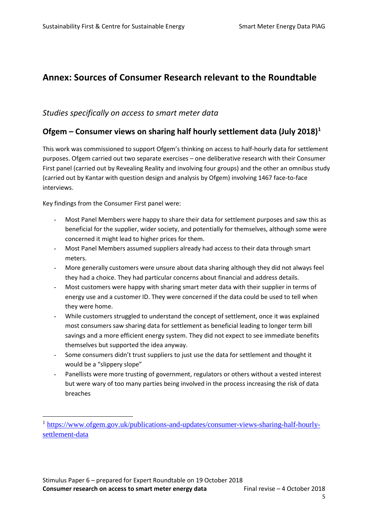## **Annex: Sources of Consumer Research relevant to the Roundtable**

#### *Studies specifically on access to smart meter data*

#### **Ofgem – Consumer views on sharing half hourly settlement data (July 2018)<sup>1</sup>**

This work was commissioned to support Ofgem's thinking on access to half-hourly data for settlement purposes. Ofgem carried out two separate exercises – one deliberative research with their Consumer First panel (carried out by Revealing Reality and involving four groups) and the other an omnibus study (carried out by Kantar with question design and analysis by Ofgem) involving 1467 face-to-face interviews.

Key findings from the Consumer First panel were:

- Most Panel Members were happy to share their data for settlement purposes and saw this as beneficial for the supplier, wider society, and potentially for themselves, although some were concerned it might lead to higher prices for them.
- Most Panel Members assumed suppliers already had access to their data through smart meters.
- More generally customers were unsure about data sharing although they did not always feel they had a choice. They had particular concerns about financial and address details.
- Most customers were happy with sharing smart meter data with their supplier in terms of energy use and a customer ID. They were concerned if the data could be used to tell when they were home.
- While customers struggled to understand the concept of settlement, once it was explained most consumers saw sharing data for settlement as beneficial leading to longer term bill savings and a more efficient energy system. They did not expect to see immediate benefits themselves but supported the idea anyway.
- Some consumers didn't trust suppliers to just use the data for settlement and thought it would be a "slippery slope"
- Panellists were more trusting of government, regulators or others without a vested interest but were wary of too many parties being involved in the process increasing the risk of data breaches

<sup>&</sup>lt;sup>1</sup> [https://www.ofgem.gov.uk/publications-and-updates/consumer-views-sharing-half-hourly](https://www.ofgem.gov.uk/publications-and-updates/consumer-views-sharing-half-hourly-settlement-data)[settlement-data](https://www.ofgem.gov.uk/publications-and-updates/consumer-views-sharing-half-hourly-settlement-data)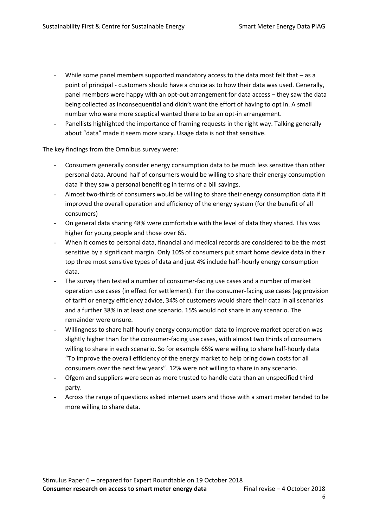- While some panel members supported mandatory access to the data most felt that  $-$  as a point of principal - customers should have a choice as to how their data was used. Generally, panel members were happy with an opt-out arrangement for data access – they saw the data being collected as inconsequential and didn't want the effort of having to opt in. A small number who were more sceptical wanted there to be an opt-in arrangement.
- Panellists highlighted the importance of framing requests in the right way. Talking generally about "data" made it seem more scary. Usage data is not that sensitive.

The key findings from the Omnibus survey were:

- Consumers generally consider energy consumption data to be much less sensitive than other personal data. Around half of consumers would be willing to share their energy consumption data if they saw a personal benefit eg in terms of a bill savings.
- Almost two-thirds of consumers would be willing to share their energy consumption data if it improved the overall operation and efficiency of the energy system (for the benefit of all consumers)
- On general data sharing 48% were comfortable with the level of data they shared. This was higher for young people and those over 65.
- When it comes to personal data, financial and medical records are considered to be the most sensitive by a significant margin. Only 10% of consumers put smart home device data in their top three most sensitive types of data and just 4% include half-hourly energy consumption data.
- The survey then tested a number of consumer-facing use cases and a number of market operation use cases (in effect for settlement). For the consumer-facing use cases (eg provision of tariff or energy efficiency advice, 34% of customers would share their data in all scenarios and a further 38% in at least one scenario. 15% would not share in any scenario. The remainder were unsure.
- Willingness to share half-hourly energy consumption data to improve market operation was slightly higher than for the consumer-facing use cases, with almost two thirds of consumers willing to share in each scenario. So for example 65% were willing to share half-hourly data "To improve the overall efficiency of the energy market to help bring down costs for all consumers over the next few years". 12% were not willing to share in any scenario.
- Ofgem and suppliers were seen as more trusted to handle data than an unspecified third party.
- Across the range of questions asked internet users and those with a smart meter tended to be more willing to share data.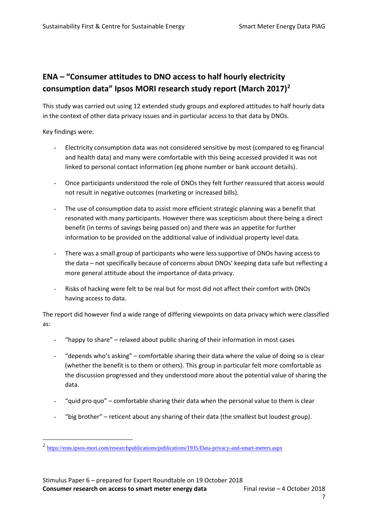## **ENA – "Consumer attitudes to DNO access to half hourly electricity consumption data" Ipsos MORI research study report (March 2017)<sup>2</sup>**

This study was carried out using 12 extended study groups and explored attitudes to half hourly data in the context of other data privacy issues and in particular access to that data by DNOs.

Key findings were:

 $\overline{a}$ 

- Electricity consumption data was not considered sensitive by most (compared to eg financial and health data) and many were comfortable with this being accessed provided it was not linked to personal contact information (eg phone number or bank account details).
- Once participants understood the role of DNOs they felt further reassured that access would not result in negative outcomes (marketing or increased bills).
- The use of consumption data to assist more efficient strategic planning was a benefit that resonated with many participants. However there was scepticism about there being a direct benefit (in terms of savings being passed on) and there was an appetite for further information to be provided on the additional value of individual property level data.
- There was a small group of participants who were less supportive of DNOs having access to the data – not specifically because of concerns about DNOs' keeping data safe but reflecting a more general attitude about the importance of data privacy.
- Risks of hacking were felt to be real but for most did not affect their comfort with DNOs having access to data.

The report did however find a wide range of differing viewpoints on data privacy which were classified as:

- "happy to share" relaxed about public sharing of their information in most cases
- "depends who's asking" comfortable sharing their data where the value of doing so is clear (whether the benefit is to them or others). This group in particular felt more comfortable as the discussion progressed and they understood more about the potential value of sharing the data.
- "quid pro quo" comfortable sharing their data when the personal value to them is clear
- "big brother" reticent about any sharing of their data (the smallest but loudest group).

<sup>&</sup>lt;sup>2</sup> <https://ems.ipsos-mori.com/researchpublications/publications/1935/Data-privacy-and-smart-meters.aspx>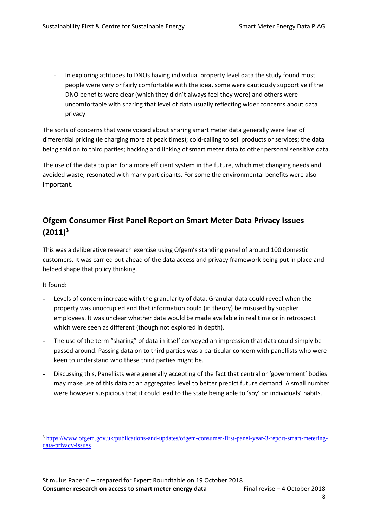- In exploring attitudes to DNOs having individual property level data the study found most people were very or fairly comfortable with the idea, some were cautiously supportive if the DNO benefits were clear (which they didn't always feel they were) and others were uncomfortable with sharing that level of data usually reflecting wider concerns about data privacy.

The sorts of concerns that were voiced about sharing smart meter data generally were fear of differential pricing (ie charging more at peak times); cold-calling to sell products or services; the data being sold on to third parties; hacking and linking of smart meter data to other personal sensitive data.

The use of the data to plan for a more efficient system in the future, which met changing needs and avoided waste, resonated with many participants. For some the environmental benefits were also important.

## **Ofgem Consumer First Panel Report on Smart Meter Data Privacy Issues (2011)<sup>3</sup>**

This was a deliberative research exercise using Ofgem's standing panel of around 100 domestic customers. It was carried out ahead of the data access and privacy framework being put in place and helped shape that policy thinking.

It found:

- Levels of concern increase with the granularity of data. Granular data could reveal when the property was unoccupied and that information could (in theory) be misused by supplier employees. It was unclear whether data would be made available in real time or in retrospect which were seen as different (though not explored in depth).
- The use of the term "sharing" of data in itself conveyed an impression that data could simply be passed around. Passing data on to third parties was a particular concern with panellists who were keen to understand who these third parties might be.
- Discussing this, Panellists were generally accepting of the fact that central or 'government' bodies may make use of this data at an aggregated level to better predict future demand. A small number were however suspicious that it could lead to the state being able to 'spy' on individuals' habits.

<sup>3</sup> [https://www.ofgem.gov.uk/publications-and-updates/ofgem-consumer-first-panel-year-3-report-smart-metering](https://www.ofgem.gov.uk/publications-and-updates/ofgem-consumer-first-panel-year-3-report-smart-metering-data-privacy-issues)[data-privacy-issues](https://www.ofgem.gov.uk/publications-and-updates/ofgem-consumer-first-panel-year-3-report-smart-metering-data-privacy-issues)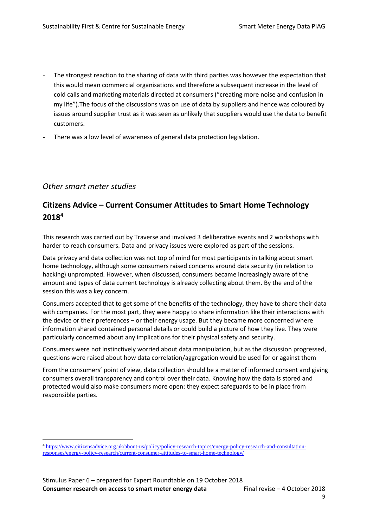- The strongest reaction to the sharing of data with third parties was however the expectation that this would mean commercial organisations and therefore a subsequent increase in the level of cold calls and marketing materials directed at consumers ("creating more noise and confusion in my life").The focus of the discussions was on use of data by suppliers and hence was coloured by issues around supplier trust as it was seen as unlikely that suppliers would use the data to benefit customers.
- There was a low level of awareness of general data protection legislation.

#### *Other smart meter studies*

 $\overline{a}$ 

### **Citizens Advice – Current Consumer Attitudes to Smart Home Technology 2018<sup>4</sup>**

This research was carried out by Traverse and involved 3 deliberative events and 2 workshops with harder to reach consumers. Data and privacy issues were explored as part of the sessions.

Data privacy and data collection was not top of mind for most participants in talking about smart home technology, although some consumers raised concerns around data security (in relation to hacking) unprompted. However, when discussed, consumers became increasingly aware of the amount and types of data current technology is already collecting about them. By the end of the session this was a key concern.

Consumers accepted that to get some of the benefits of the technology, they have to share their data with companies. For the most part, they were happy to share information like their interactions with the device or their preferences – or their energy usage. But they became more concerned where information shared contained personal details or could build a picture of how they live. They were particularly concerned about any implications for their physical safety and security.

Consumers were not instinctively worried about data manipulation, but as the discussion progressed, questions were raised about how data correlation/aggregation would be used for or against them

From the consumers' point of view, data collection should be a matter of informed consent and giving consumers overall transparency and control over their data. Knowing how the data is stored and protected would also make consumers more open: they expect safeguards to be in place from responsible parties.

<sup>4</sup> [https://www.citizensadvice.org.uk/about-us/policy/policy-research-topics/energy-policy-research-and-consultation](https://www.citizensadvice.org.uk/about-us/policy/policy-research-topics/energy-policy-research-and-consultation-responses/energy-policy-research/current-consumer-attitudes-to-smart-home-technology/)[responses/energy-policy-research/current-consumer-attitudes-to-smart-home-technology/](https://www.citizensadvice.org.uk/about-us/policy/policy-research-topics/energy-policy-research-and-consultation-responses/energy-policy-research/current-consumer-attitudes-to-smart-home-technology/)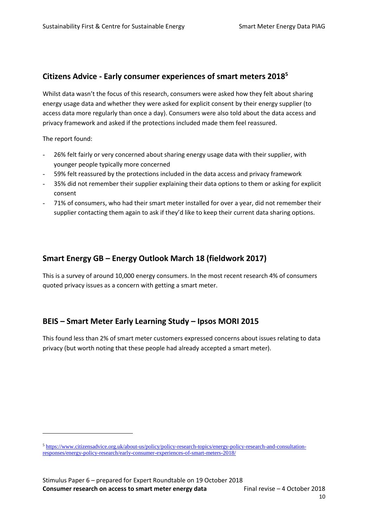#### **Citizens Advice - Early consumer experiences of smart meters 2018<sup>5</sup>**

Whilst data wasn't the focus of this research, consumers were asked how they felt about sharing energy usage data and whether they were asked for explicit consent by their energy supplier (to access data more regularly than once a day). Consumers were also told about the data access and privacy framework and asked if the protections included made them feel reassured.

The report found:

 $\overline{a}$ 

- 26% felt fairly or very concerned about sharing energy usage data with their supplier, with younger people typically more concerned
- 59% felt reassured by the protections included in the data access and privacy framework
- 35% did not remember their supplier explaining their data options to them or asking for explicit consent
- 71% of consumers, who had their smart meter installed for over a year, did not remember their supplier contacting them again to ask if they'd like to keep their current data sharing options.

#### **Smart Energy GB – Energy Outlook March 18 (fieldwork 2017)**

This is a survey of around 10,000 energy consumers. In the most recent research 4% of consumers quoted privacy issues as a concern with getting a smart meter.

## **BEIS – Smart Meter Early Learning Study – Ipsos MORI 2015**

This found less than 2% of smart meter customers expressed concerns about issues relating to data privacy (but worth noting that these people had already accepted a smart meter).

<sup>5</sup> [https://www.citizensadvice.org.uk/about-us/policy/policy-research-topics/energy-policy-research-and-consultation](https://www.citizensadvice.org.uk/about-us/policy/policy-research-topics/energy-policy-research-and-consultation-responses/energy-policy-research/early-consumer-experiences-of-smart-meters-2018/)[responses/energy-policy-research/early-consumer-experiences-of-smart-meters-2018/](https://www.citizensadvice.org.uk/about-us/policy/policy-research-topics/energy-policy-research-and-consultation-responses/energy-policy-research/early-consumer-experiences-of-smart-meters-2018/)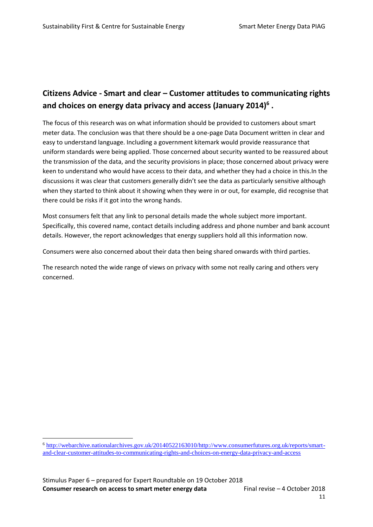## **Citizens Advice - Smart and clear – Customer attitudes to communicating rights and choices on energy data privacy and access (January 2014)<sup>6</sup> .**

The focus of this research was on what information should be provided to customers about smart meter data. The conclusion was that there should be a one-page Data Document written in clear and easy to understand language. Including a government kitemark would provide reassurance that uniform standards were being applied. Those concerned about security wanted to be reassured about the transmission of the data, and the security provisions in place; those concerned about privacy were keen to understand who would have access to their data, and whether they had a choice in this.In the discussions it was clear that customers generally didn't see the data as particularly sensitive although when they started to think about it showing when they were in or out, for example, did recognise that there could be risks if it got into the wrong hands.

Most consumers felt that any link to personal details made the whole subject more important. Specifically, this covered name, contact details including address and phone number and bank account details. However, the report acknowledges that energy suppliers hold all this information now.

Consumers were also concerned about their data then being shared onwards with third parties.

The research noted the wide range of views on privacy with some not really caring and others very concerned.

<sup>6</sup> [http://webarchive.nationalarchives.gov.uk/20140522163010/http://www.consumerfutures.org.uk/reports/smart](http://webarchive.nationalarchives.gov.uk/20140522163010/http:/www.consumerfutures.org.uk/reports/smart-and-clear-customer-attitudes-to-communicating-rights-and-choices-on-energy-data-privacy-and-access)[and-clear-customer-attitudes-to-communicating-rights-and-choices-on-energy-data-privacy-and-access](http://webarchive.nationalarchives.gov.uk/20140522163010/http:/www.consumerfutures.org.uk/reports/smart-and-clear-customer-attitudes-to-communicating-rights-and-choices-on-energy-data-privacy-and-access)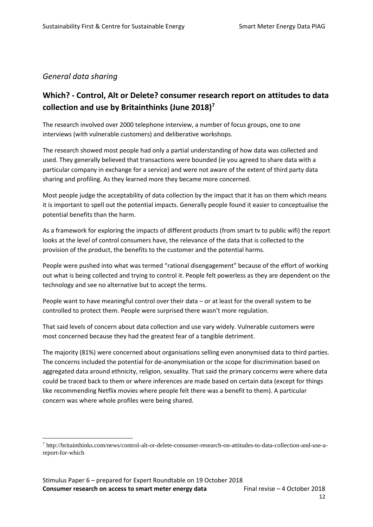#### *General data sharing*

 $\overline{a}$ 

## **Which? - Control, Alt or Delete? consumer research report on attitudes to data collection and use by Britainthinks (June 2018)<sup>7</sup>**

The research involved over 2000 telephone interview, a number of focus groups, one to one interviews (with vulnerable customers) and deliberative workshops.

The research showed most people had only a partial understanding of how data was collected and used. They generally believed that transactions were bounded (ie you agreed to share data with a particular company in exchange for a service) and were not aware of the extent of third party data sharing and profiling. As they learned more they became more concerned.

Most people judge the acceptability of data collection by the impact that it has on them which means it is important to spell out the potential impacts. Generally people found it easier to conceptualise the potential benefits than the harm.

As a framework for exploring the impacts of different products (from smart tv to public wifi) the report looks at the level of control consumers have, the relevance of the data that is collected to the provision of the product, the benefits to the customer and the potential harms.

People were pushed into what was termed "rational disengagement" because of the effort of working out what is being collected and trying to control it. People felt powerless as they are dependent on the technology and see no alternative but to accept the terms.

People want to have meaningful control over their data – or at least for the overall system to be controlled to protect them. People were surprised there wasn't more regulation.

That said levels of concern about data collection and use vary widely. Vulnerable customers were most concerned because they had the greatest fear of a tangible detriment.

The majority (81%) were concerned about organisations selling even anonymised data to third parties. The concerns included the potential for de-anonymisation or the scope for discrimination based on aggregated data around ethnicity, religion, sexuality. That said the primary concerns were where data could be traced back to them or where inferences are made based on certain data (except for things like recommending Netflix movies where people felt there was a benefit to them). A particular concern was where whole profiles were being shared.

<sup>7</sup> http://britainthinks.com/news/control-alt-or-delete-consumer-research-on-attitudes-to-data-collection-and-use-areport-for-which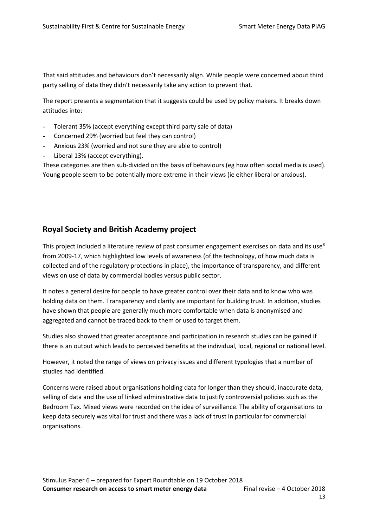That said attitudes and behaviours don't necessarily align. While people were concerned about third party selling of data they didn't necessarily take any action to prevent that.

The report presents a segmentation that it suggests could be used by policy makers. It breaks down attitudes into:

- Tolerant 35% (accept everything except third party sale of data)
- Concerned 29% (worried but feel they can control)
- Anxious 23% (worried and not sure they are able to control)
- Liberal 13% (accept everything).

These categories are then sub-divided on the basis of behaviours (eg how often social media is used). Young people seem to be potentially more extreme in their views (ie either liberal or anxious).

#### **Royal Society and British Academy project**

This project included a literature review of past consumer engagement exercises on data and its use<sup>8</sup> from 2009-17, which highlighted low levels of awareness (of the technology, of how much data is collected and of the regulatory protections in place), the importance of transparency, and different views on use of data by commercial bodies versus public sector.

It notes a general desire for people to have greater control over their data and to know who was holding data on them. Transparency and clarity are important for building trust. In addition, studies have shown that people are generally much more comfortable when data is anonymised and aggregated and cannot be traced back to them or used to target them.

Studies also showed that greater acceptance and participation in research studies can be gained if there is an output which leads to perceived benefits at the individual, local, regional or national level.

However, it noted the range of views on privacy issues and different typologies that a number of studies had identified.

Concerns were raised about organisations holding data for longer than they should, inaccurate data, selling of data and the use of linked administrative data to justify controversial policies such as the Bedroom Tax. Mixed views were recorded on the idea of surveillance. The ability of organisations to keep data securely was vital for trust and there was a lack of trust in particular for commercial organisations.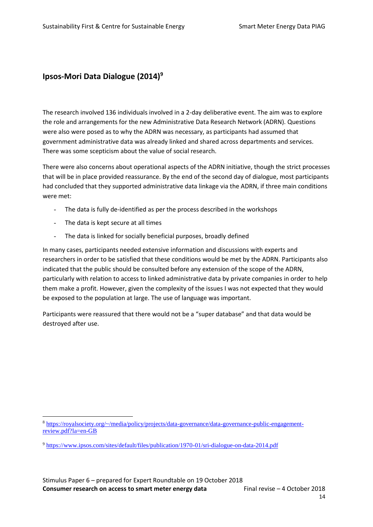#### **Ipsos-Mori Data Dialogue (2014)<sup>9</sup>**

The research involved 136 individuals involved in a 2-day deliberative event. The aim was to explore the role and arrangements for the new Administrative Data Research Network (ADRN). Questions were also were posed as to why the ADRN was necessary, as participants had assumed that government administrative data was already linked and shared across departments and services. There was some scepticism about the value of social research.

There were also concerns about operational aspects of the ADRN initiative, though the strict processes that will be in place provided reassurance. By the end of the second day of dialogue, most participants had concluded that they supported administrative data linkage via the ADRN, if three main conditions were met:

- The data is fully de-identified as per the process described in the workshops
- The data is kept secure at all times

 $\overline{a}$ 

The data is linked for socially beneficial purposes, broadly defined

In many cases, participants needed extensive information and discussions with experts and researchers in order to be satisfied that these conditions would be met by the ADRN. Participants also indicated that the public should be consulted before any extension of the scope of the ADRN, particularly with relation to access to linked administrative data by private companies in order to help them make a profit. However, given the complexity of the issues I was not expected that they would be exposed to the population at large. The use of language was important.

Participants were reassured that there would not be a "super database" and that data would be destroyed after use.

<sup>8</sup> [https://royalsociety.org/~/media/policy/projects/data-governance/data-governance-public-engagement](https://royalsociety.org/~/media/policy/projects/data-governance/data-governance-public-engagement-review.pdf?la=en-GB)[review.pdf?la=en-GB](https://royalsociety.org/~/media/policy/projects/data-governance/data-governance-public-engagement-review.pdf?la=en-GB)

<sup>9</sup> <https://www.ipsos.com/sites/default/files/publication/1970-01/sri-dialogue-on-data-2014.pdf>